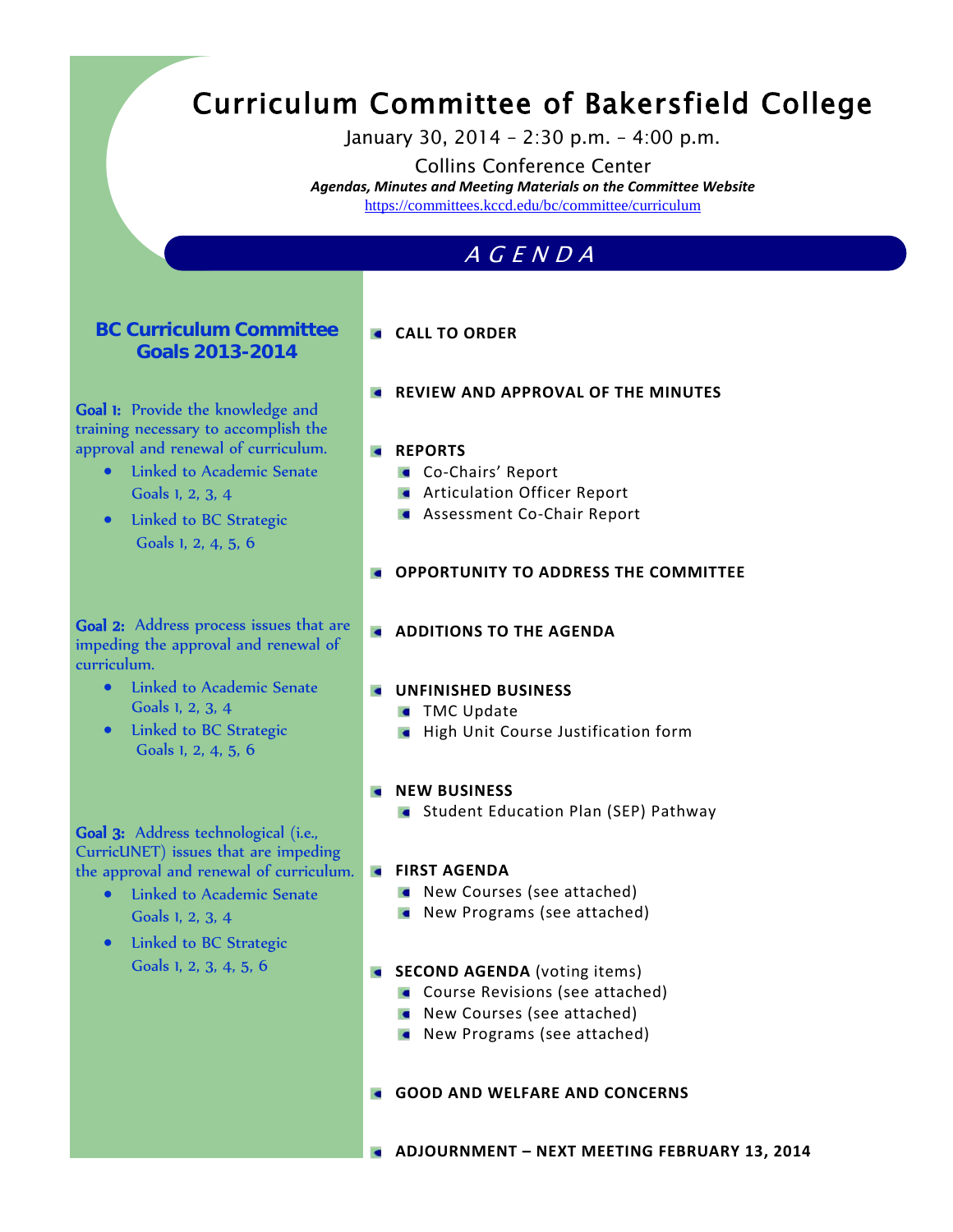# Curriculum Committee of Bakersfield College

January 30, 2014 – 2:30 p.m. – 4:00 p.m.

Collins Conference Center *Agendas, Minutes and Meeting Materials on the Committee Website*  <https://committees.kccd.edu/bc/committee/curriculum>

# AGENDA

#### **BC Curriculum Committee Goals 2013-2014**

Goal 1: Provide the knowledge and training necessary to accomplish the approval and renewal of curriculum.

- Linked to Academic Senate Goals 1, 2, 3, 4
- Linked to BC Strategic Goals 1, 2, 4, 5, 6

## **CALL TO ORDER**

**REVIEW AND APPROVAL OF THE MINUTES** 

#### **REPORTS**

- **Co-Chairs' Report**
- **Articulation Officer Report**
- **Assessment Co-Chair Report**
- **OPPORTUNITY TO ADDRESS THE COMMITTEE**

Goal 2: Address process issues that are impeding the approval and renewal of curriculum.

- Linked to Academic Senate Goals 1, 2, 3, 4
- Linked to BC Strategic Goals 1, 2, 4, 5, 6

#### **ADDITIONS TO THE AGENDA**

#### **UNFINISHED BUSINESS**

- **TMC Update**
- **High Unit Course Justification form**

#### **KILL AND BUSINESS**

**Student Education Plan (SEP) Pathway** 

#### Goal 3: Address technological (i.e., CurricUNET) issues that are impeding the approval and renewal of curriculum.

- Linked to Academic Senate Goals 1, 2, 3, 4
- Linked to BC Strategic Goals 1, 2, 3, 4, 5, 6

#### **EIRST AGENDA**

- New Courses (see attached)
- **New Programs (see attached)**

#### **SECOND AGENDA** (voting items)

- **Course Revisions (see attached)**
- **New Courses (see attached)**
- **New Programs (see attached)**

#### **GOOD AND WELFARE AND CONCERNS**

**ADJOURNMENT – NEXT MEETING FEBRUARY 13, 2014**

- 
-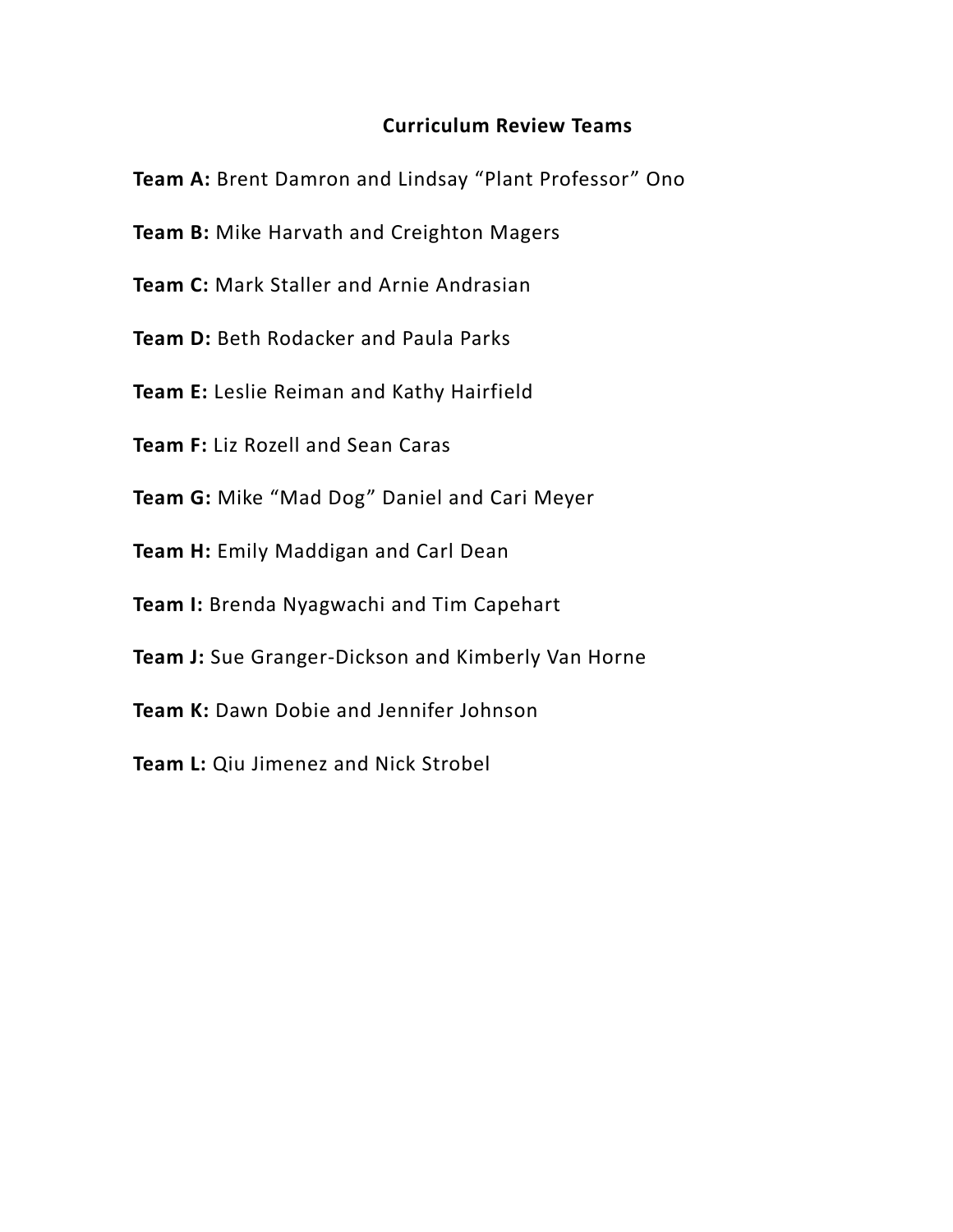## **Curriculum Review Teams**

**Team A:** Brent Damron and Lindsay "Plant Professor" Ono

- **Team B:** Mike Harvath and Creighton Magers
- **Team C:** Mark Staller and Arnie Andrasian
- **Team D: Beth Rodacker and Paula Parks**
- **Team E:** Leslie Reiman and Kathy Hairfield
- **Team F:** Liz Rozell and Sean Caras
- **Team G:** Mike "Mad Dog" Daniel and Cari Meyer
- **Team H:** Emily Maddigan and Carl Dean
- **Team I:** Brenda Nyagwachi and Tim Capehart
- **Team J:** Sue Granger-Dickson and Kimberly Van Horne
- **Team K:** Dawn Dobie and Jennifer Johnson
- **Team L:** Qiu Jimenez and Nick Strobel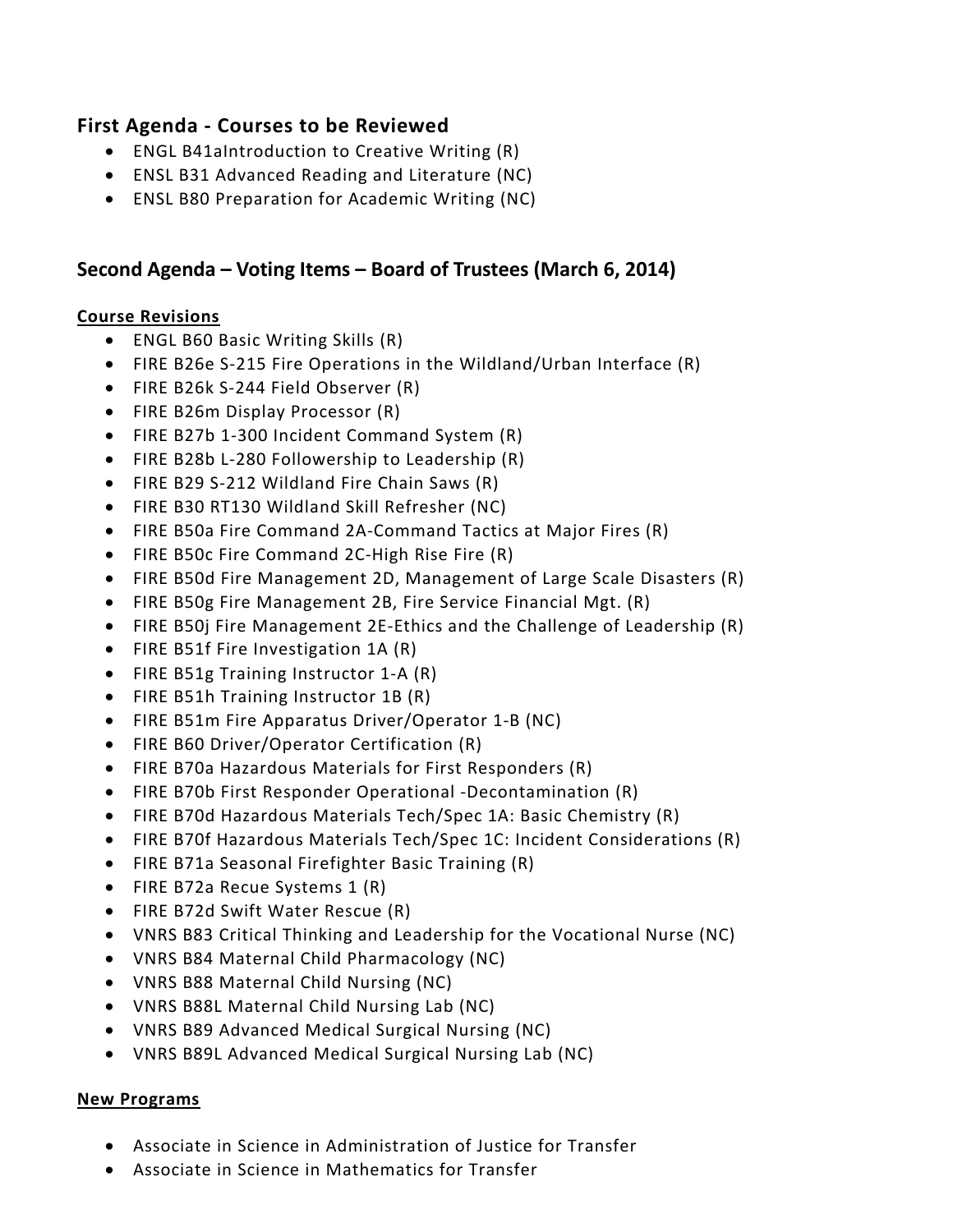## **First Agenda - Courses to be Reviewed**

- ENGL B41aIntroduction to Creative Writing (R)
- ENSL B31 Advanced Reading and Literature (NC)
- ENSL B80 Preparation for Academic Writing (NC)

## **Second Agenda – Voting Items – Board of Trustees (March 6, 2014)**

## **Course Revisions**

- ENGL B60 Basic Writing Skills (R)
- FIRE B26e S-215 Fire Operations in the Wildland/Urban Interface (R)
- FIRE B26k S-244 Field Observer (R)
- FIRE B26m Display Processor (R)
- FIRE B27b 1-300 Incident Command System (R)
- FIRE B28b L-280 Followership to Leadership (R)
- FIRE B29 S-212 Wildland Fire Chain Saws (R)
- FIRE B30 RT130 Wildland Skill Refresher (NC)
- FIRE B50a Fire Command 2A-Command Tactics at Major Fires (R)
- FIRE B50c Fire Command 2C-High Rise Fire (R)
- FIRE B50d Fire Management 2D, Management of Large Scale Disasters (R)
- FIRE B50g Fire Management 2B, Fire Service Financial Mgt. (R)
- FIRE B50j Fire Management 2E-Ethics and the Challenge of Leadership (R)
- FIRE B51f Fire Investigation 1A (R)
- FIRE B51g Training Instructor 1-A (R)
- FIRE B51h Training Instructor 1B (R)
- FIRE B51m Fire Apparatus Driver/Operator 1-B (NC)
- FIRE B60 Driver/Operator Certification (R)
- FIRE B70a Hazardous Materials for First Responders (R)
- FIRE B70b First Responder Operational -Decontamination (R)
- FIRE B70d Hazardous Materials Tech/Spec 1A: Basic Chemistry (R)
- FIRE B70f Hazardous Materials Tech/Spec 1C: Incident Considerations (R)
- FIRE B71a Seasonal Firefighter Basic Training (R)
- FIRE B72a Recue Systems 1 (R)
- FIRE B72d Swift Water Rescue (R)
- VNRS B83 Critical Thinking and Leadership for the Vocational Nurse (NC)
- VNRS B84 Maternal Child Pharmacology (NC)
- VNRS B88 Maternal Child Nursing (NC)
- VNRS B88L Maternal Child Nursing Lab (NC)
- VNRS B89 Advanced Medical Surgical Nursing (NC)
- VNRS B89L Advanced Medical Surgical Nursing Lab (NC)

## **New Programs**

- Associate in Science in Administration of Justice for Transfer
- Associate in Science in Mathematics for Transfer